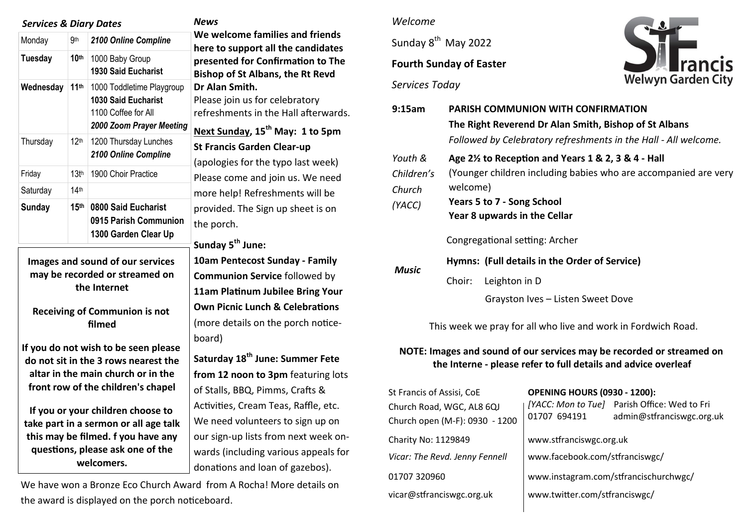#### *Services & Diary Dates News*

| Monday         | .9 <sub>th</sub> | 2100 Online Compline                                                                                       |
|----------------|------------------|------------------------------------------------------------------------------------------------------------|
| <b>Tuesday</b> | 10 <sup>th</sup> | 1000 Baby Group<br><b>1930 Said Eucharist</b>                                                              |
| Wednesday      | 11 <sup>th</sup> | 1000 Toddletime Playgroup<br><b>1030 Said Eucharist</b><br>1100 Coffee for All<br>2000 Zoom Prayer Meeting |
| Thursday       | 12 <sup>th</sup> | 1200 Thursday Lunches<br>2100 Online Compline                                                              |
| Friday         | 13 <sup>th</sup> | 1900 Choir Practice                                                                                        |
| Saturday       | 14 <sup>th</sup> |                                                                                                            |
| <b>Sunday</b>  | 15 <sup>th</sup> | 0800 Said Eucharist<br>0915 Parish Communion<br>1300 Garden Clear Up                                       |

**Images and sound of our services may be recorded or streamed on the Internet**

### **Receiving of Communion is not filmed**

**If you do not wish to be seen please do not sit in the 3 rows nearest the altar in the main church or in the front row of the children's chapel**

**If you or your children choose to take part in a sermon or all age talk this may be filmed. f you have any questions, please ask one of the welcomers.**

**We welcome families and friends here to support all the candidates presented for Confirmation to The Bishop of St Albans, the Rt Revd Dr Alan Smith.**  Please join us for celebratory refreshments in the Hall afterwards. **Next Sunday, 15th May: 1 to 5pm St Francis Garden Clear-up**  (apologies for the typo last week) Please come and join us. We need more help! Refreshments will be provided. The Sign up sheet is on the porch. **Sunday 5th June: 10am Pentecost Sunday - Family Communion Service** followed by **11am Platinum Jubilee Bring Your Own Picnic Lunch & Celebrations** 

(more details on the porch noticeboard)

**Saturday 18th June: Summer Fete**  from 12 noon to 3pm featuring lots of Stalls, BBQ, Pimms, Crafts & Activities, Cream Teas, Raffle, etc. We need volunteers to sign up on our sign-up lists from next week onwards (including various appeals for donations and loan of gazebos).

We have won a Bronze Eco Church Award from A Rocha! More details on the award is displayed on the porch noticeboard.

## *Welcome*

Sunday 8<sup>th</sup> May 2022

# **Fourth Sunday of Easter**

*Services Today*



| 9:15am                                    | <b>PARISH COMMUNION WITH CONFIRMATION</b><br>The Right Reverend Dr Alan Smith, Bishop of St Albans<br>Followed by Celebratory refreshments in the Hall - All welcome.                                      |  |  |  |
|-------------------------------------------|------------------------------------------------------------------------------------------------------------------------------------------------------------------------------------------------------------|--|--|--|
| Youth &<br>Children's<br>Church<br>(YACC) | Age $2\frac{1}{2}$ to Reception and Years 1 & 2, 3 & 4 - Hall<br>(Younger children including babies who are accompanied are very<br>welcome)<br>Years 5 to 7 - Song School<br>Year 8 upwards in the Cellar |  |  |  |
| Music                                     | Congregational setting: Archer<br>Hymns: (Full details in the Order of Service)<br>Leighton in D<br>Choir:<br>Grayston Ives - Listen Sweet Dove                                                            |  |  |  |

This week we pray for all who live and work in Fordwich Road.

## **NOTE: Images and sound of our services may be recorded or streamed on the Interne - please refer to full details and advice overleaf**

| St Francis of Assisi, CoE<br>Church Road, WGC, AL8 6QJ<br>Church open (M-F): 0930 - 1200 | <b>OPENING HOURS (0930 - 1200):</b><br>01707 694191                     | [YACC: Mon to Tue] Parish Office: Wed to Fri<br>admin@stfranciswgc.org.uk |
|------------------------------------------------------------------------------------------|-------------------------------------------------------------------------|---------------------------------------------------------------------------|
| Charity No: 1129849                                                                      | www.stfranciswgc.org.uk                                                 |                                                                           |
| Vicar: The Revd. Jenny Fennell<br>01707 320960                                           | www.facebook.com/stfranciswgc/<br>www.instagram.com/stfrancischurchwgc/ |                                                                           |
| vicar@stfranciswgc.org.uk                                                                | www.twitter.com/stfranciswgc/                                           |                                                                           |